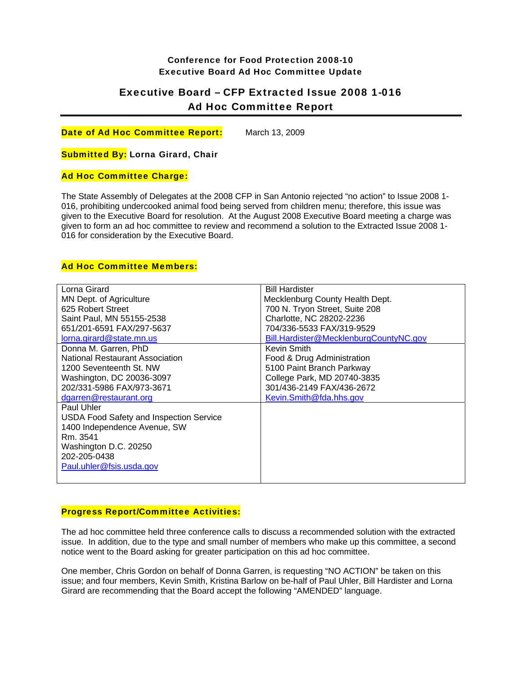## Conference for Food Protection 2008-10 Executive Board Ad Hoc Committee Update

# Executive Board – CFP Extracted Issue 2008 1-016 Ad Hoc Committee Report

Date of Ad Hoc Committee Report: March 13, 2009

Submitted By: Lorna Girard, Chair

#### Ad Hoc Committee Charge:

The State Assembly of Delegates at the 2008 CFP in San Antonio rejected "no action" to Issue 2008 1- 016, prohibiting undercooked animal food being served from children menu; therefore, this issue was given to the Executive Board for resolution. At the August 2008 Executive Board meeting a charge was given to form an ad hoc committee to review and recommend a solution to the Extracted Issue 2008 1- 016 for consideration by the Executive Board.

## Ad Hoc Committee Members:

| Lorna Girard                                   | <b>Bill Hardister</b>                  |
|------------------------------------------------|----------------------------------------|
| MN Dept. of Agriculture                        | Mecklenburg County Health Dept.        |
| 625 Robert Street                              | 700 N. Tryon Street, Suite 208         |
| Saint Paul, MN 55155-2538                      | Charlotte, NC 28202-2236               |
| 651/201-6591 FAX/297-5637                      | 704/336-5533 FAX/319-9529              |
| lorna.girard@state.mn.us                       | Bill.Hardister@MecklenburgCountyNC.gov |
| Donna M. Garren, PhD                           | Kevin Smith                            |
| National Restaurant Association                | Food & Drug Administration             |
| 1200 Seventeenth St. NW                        | 5100 Paint Branch Parkway              |
| Washington, DC 20036-3097                      | College Park, MD 20740-3835            |
| 202/331-5986 FAX/973-3671                      | 301/436-2149 FAX/436-2672              |
| dgarren@restaurant.org                         | Kevin.Smith@fda.hhs.gov                |
| Paul Uhler                                     |                                        |
| <b>USDA Food Safety and Inspection Service</b> |                                        |
| 1400 Independence Avenue, SW                   |                                        |
| Rm. 3541                                       |                                        |
| Washington D.C. 20250                          |                                        |
| 202-205-0438                                   |                                        |
| Paul.uhler@fsis.usda.gov                       |                                        |
|                                                |                                        |

#### Progress Report/Committee Activities:

The ad hoc committee held three conference calls to discuss a recommended solution with the extracted issue. In addition, due to the type and small number of members who make up this committee, a second notice went to the Board asking for greater participation on this ad hoc committee.

One member, Chris Gordon on behalf of Donna Garren, is requesting "NO ACTION" be taken on this issue; and four members, Kevin Smith, Kristina Barlow on be-half of Paul Uhler, Bill Hardister and Lorna Girard are recommending that the Board accept the following "AMENDED" language.